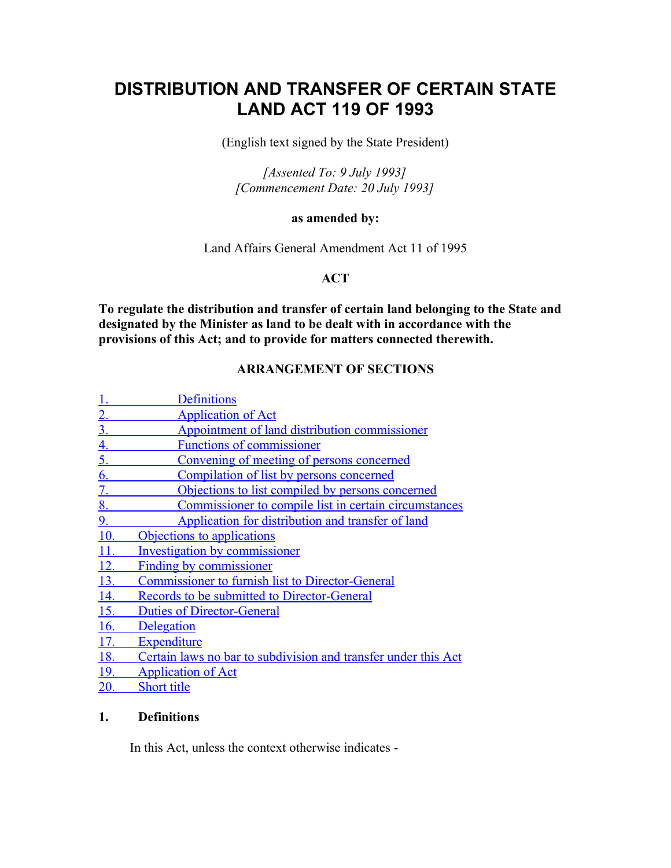# **DISTRIBUTION AND TRANSFER OF CERTAIN STATE LAND ACT 119 OF 1993**

(English text signed by the State President)

*[Assented To: 9 July 1993] [Commencement Date: 20 July 1993]*

#### **as amended by:**

Land Affairs General Amendment Act 11 of 1995

# **ACT**

**To regulate the distribution and transfer of certain land belonging to the State and designated by the Minister as land to be dealt with in accordance with the provisions of this Act; and to provide for matters connected therewith.**

# **ARRANGEMENT OF SECTIONS**

|                | <b>Definitions</b>                                             |
|----------------|----------------------------------------------------------------|
| $2_{\cdot}$    | <b>Application of Act</b>                                      |
| $3_{-}$        | Appointment of land distribution commissioner                  |
| <u>4.</u>      | <b>Functions of commissioner</b>                               |
| 5 <sub>1</sub> | Convening of meeting of persons concerned                      |
| 6.             | Compilation of list by persons concerned                       |
| 7.             | Objections to list compiled by persons concerned               |
| 8.             | Commissioner to compile list in certain circumstances          |
| 9.             | Application for distribution and transfer of land              |
| 10.            | Objections to applications                                     |
| 11.            | <b>Investigation by commissioner</b>                           |
| 12.            | Finding by commissioner                                        |
| 13.            | <b>Commissioner to furnish list to Director-General</b>        |
| 14.            | Records to be submitted to Director-General                    |
| 15.            | <b>Duties of Director-General</b>                              |
| 16.            | <b>Delegation</b>                                              |
| 17.            | Expenditure                                                    |
| 18.            | Certain laws no bar to subdivision and transfer under this Act |
| 19.            | <b>Application of Act</b>                                      |
|                |                                                                |

 [20. Short title](http://search.sabinet.co.za/netlawpdf/netlaw/DISTRIBUTION%20AND%20TRANSFER%20OF%20CERTAIN%20STATE%20LAND%20ACT.htm#section20%23section20)

# **1. Definitions**

In this Act, unless the context otherwise indicates -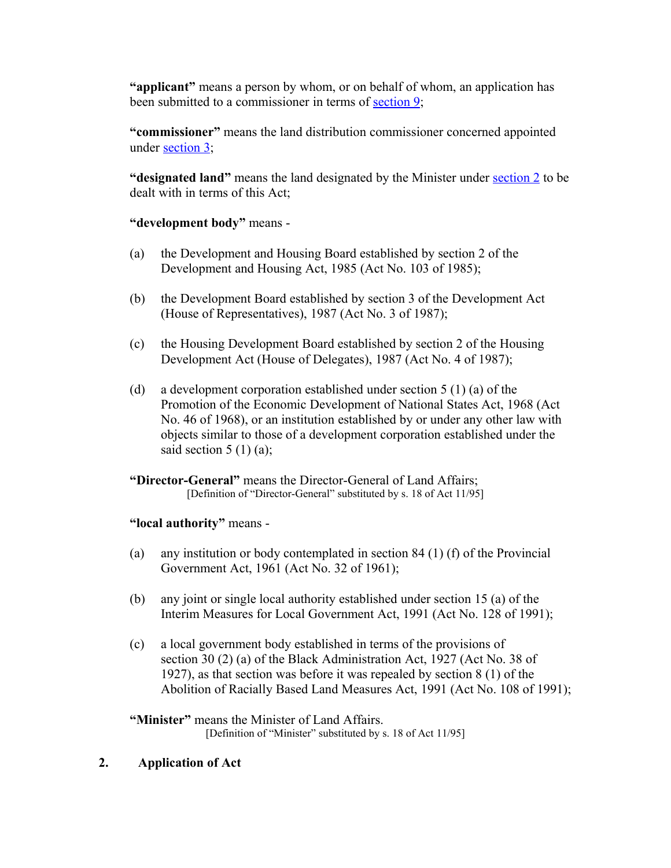**"applicant"** means a person by whom, or on behalf of whom, an application has been submitted to a commissioner in terms of [section 9;](http://search.sabinet.co.za/netlawpdf/netlaw/DISTRIBUTION%20AND%20TRANSFER%20OF%20CERTAIN%20STATE%20LAND%20ACT.htm#section9%23section9)

**"commissioner"** means the land distribution commissioner concerned appointed under [section 3;](http://search.sabinet.co.za/netlawpdf/netlaw/DISTRIBUTION%20AND%20TRANSFER%20OF%20CERTAIN%20STATE%20LAND%20ACT.htm#section3%23section3)

**"designated land"** means the land designated by the Minister under [section 2](http://search.sabinet.co.za/netlawpdf/netlaw/DISTRIBUTION%20AND%20TRANSFER%20OF%20CERTAIN%20STATE%20LAND%20ACT.htm#section2%23section2) to be dealt with in terms of this Act;

## **"development body"** means -

- (a) the Development and Housing Board established by section 2 of the Development and Housing Act, 1985 (Act No. 103 of 1985);
- (b) the Development Board established by section 3 of the Development Act (House of Representatives), 1987 (Act No. 3 of 1987);
- (c) the Housing Development Board established by section 2 of the Housing Development Act (House of Delegates), 1987 (Act No. 4 of 1987);
- (d) a development corporation established under section 5 (1) (a) of the Promotion of the Economic Development of National States Act, 1968 (Act No. 46 of 1968), or an institution established by or under any other law with objects similar to those of a development corporation established under the said section  $5(1)(a)$ ;

**"Director-General"** means the Director-General of Land Affairs; [Definition of "Director-General" substituted by s. 18 of Act 11/95]

#### **"local authority"** means -

- (a) any institution or body contemplated in section 84 (1) (f) of the Provincial Government Act, 1961 (Act No. 32 of 1961);
- (b) any joint or single local authority established under section 15 (a) of the Interim Measures for Local Government Act, 1991 (Act No. 128 of 1991);
- (c) a local government body established in terms of the provisions of section 30 (2) (a) of the Black Administration Act, 1927 (Act No. 38 of 1927), as that section was before it was repealed by section 8 (1) of the Abolition of Racially Based Land Measures Act, 1991 (Act No. 108 of 1991);

**"Minister"** means the Minister of Land Affairs. [Definition of "Minister" substituted by s. 18 of Act 11/95]

#### **2. Application of Act**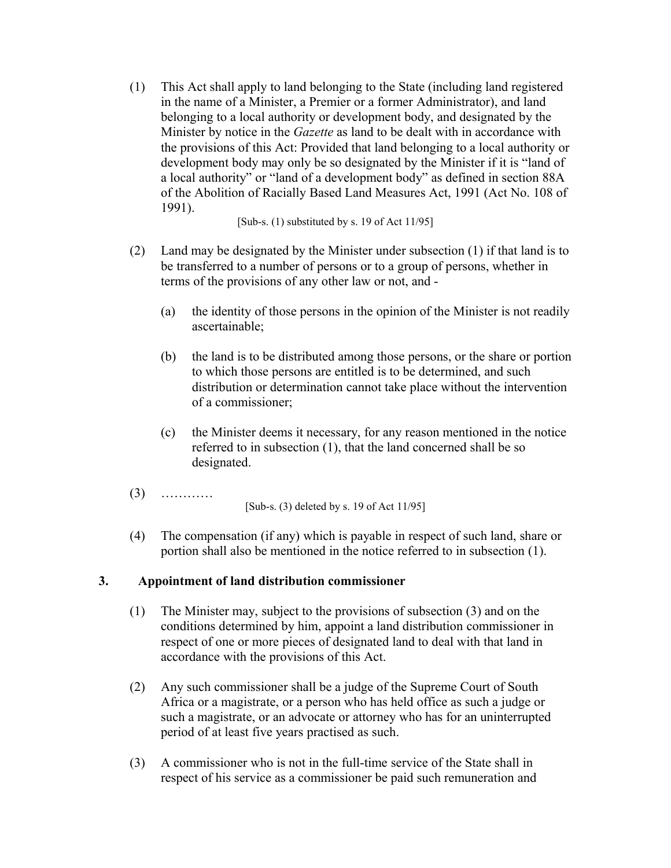(1) This Act shall apply to land belonging to the State (including land registered in the name of a Minister, a Premier or a former Administrator), and land belonging to a local authority or development body, and designated by the Minister by notice in the *Gazette* as land to be dealt with in accordance with the provisions of this Act: Provided that land belonging to a local authority or development body may only be so designated by the Minister if it is "land of a local authority" or "land of a development body" as defined in section 88A of the Abolition of Racially Based Land Measures Act, 1991 (Act No. 108 of 1991).

[Sub-s. (1) substituted by s. 19 of Act 11/95]

- (2) Land may be designated by the Minister under subsection (1) if that land is to be transferred to a number of persons or to a group of persons, whether in terms of the provisions of any other law or not, and -
	- (a) the identity of those persons in the opinion of the Minister is not readily ascertainable;
	- (b) the land is to be distributed among those persons, or the share or portion to which those persons are entitled is to be determined, and such distribution or determination cannot take place without the intervention of a commissioner;
	- (c) the Minister deems it necessary, for any reason mentioned in the notice referred to in subsection (1), that the land concerned shall be so designated.
- (3) ………… [Sub-s. (3) deleted by s. 19 of Act 11/95]
- (4) The compensation (if any) which is payable in respect of such land, share or portion shall also be mentioned in the notice referred to in subsection (1).

# **3. Appointment of land distribution commissioner**

- (1) The Minister may, subject to the provisions of subsection (3) and on the conditions determined by him, appoint a land distribution commissioner in respect of one or more pieces of designated land to deal with that land in accordance with the provisions of this Act.
- (2) Any such commissioner shall be a judge of the Supreme Court of South Africa or a magistrate, or a person who has held office as such a judge or such a magistrate, or an advocate or attorney who has for an uninterrupted period of at least five years practised as such.
- (3) A commissioner who is not in the full-time service of the State shall in respect of his service as a commissioner be paid such remuneration and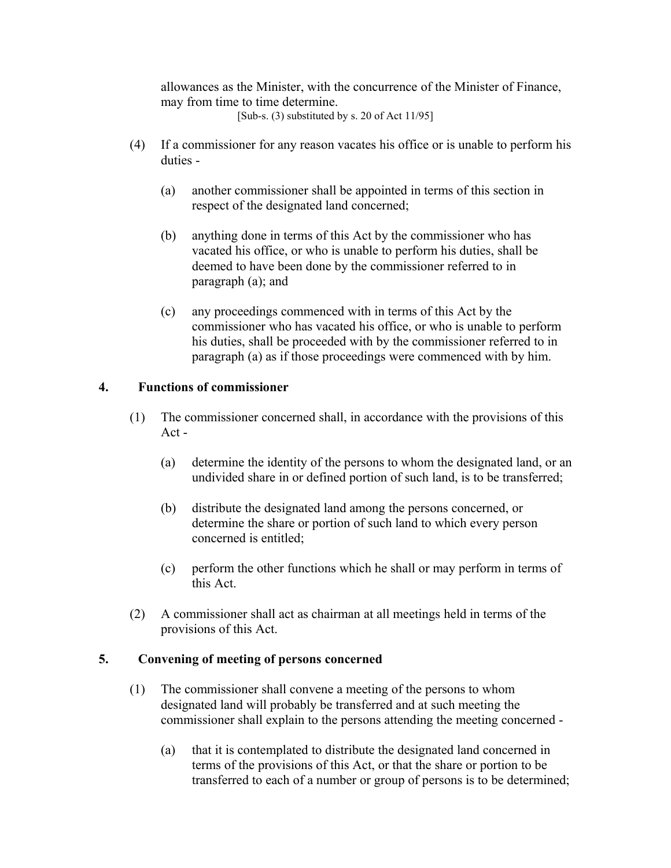allowances as the Minister, with the concurrence of the Minister of Finance, may from time to time determine.

[Sub-s.  $(3)$  substituted by s. 20 of Act 11/95]

- (4) If a commissioner for any reason vacates his office or is unable to perform his duties -
	- (a) another commissioner shall be appointed in terms of this section in respect of the designated land concerned;
	- (b) anything done in terms of this Act by the commissioner who has vacated his office, or who is unable to perform his duties, shall be deemed to have been done by the commissioner referred to in paragraph (a); and
	- (c) any proceedings commenced with in terms of this Act by the commissioner who has vacated his office, or who is unable to perform his duties, shall be proceeded with by the commissioner referred to in paragraph (a) as if those proceedings were commenced with by him.

## **4. Functions of commissioner**

- (1) The commissioner concerned shall, in accordance with the provisions of this Act -
	- (a) determine the identity of the persons to whom the designated land, or an undivided share in or defined portion of such land, is to be transferred;
	- (b) distribute the designated land among the persons concerned, or determine the share or portion of such land to which every person concerned is entitled;
	- (c) perform the other functions which he shall or may perform in terms of this Act.
- (2) A commissioner shall act as chairman at all meetings held in terms of the provisions of this Act.

#### **5. Convening of meeting of persons concerned**

- (1) The commissioner shall convene a meeting of the persons to whom designated land will probably be transferred and at such meeting the commissioner shall explain to the persons attending the meeting concerned -
	- (a) that it is contemplated to distribute the designated land concerned in terms of the provisions of this Act, or that the share or portion to be transferred to each of a number or group of persons is to be determined;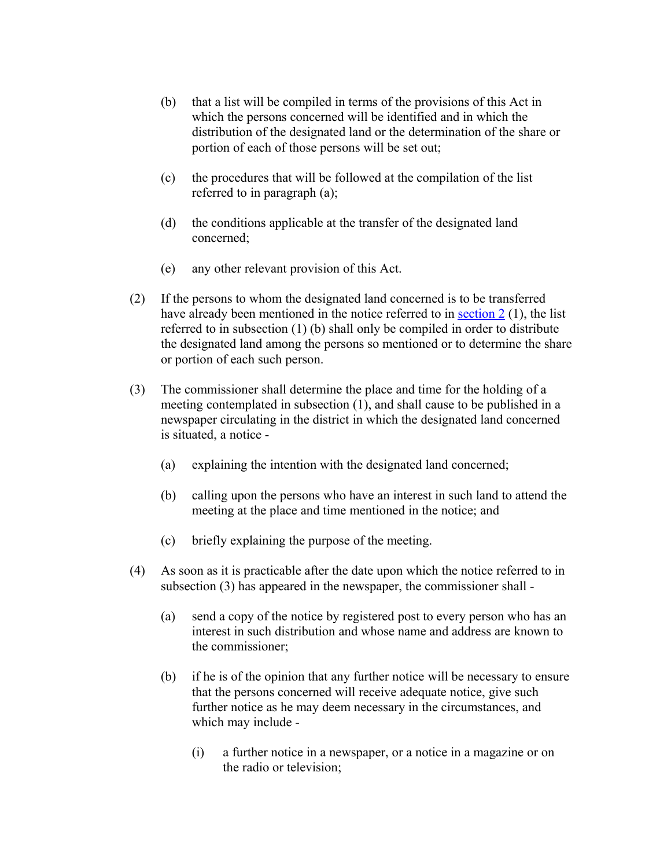- (b) that a list will be compiled in terms of the provisions of this Act in which the persons concerned will be identified and in which the distribution of the designated land or the determination of the share or portion of each of those persons will be set out;
- (c) the procedures that will be followed at the compilation of the list referred to in paragraph (a);
- (d) the conditions applicable at the transfer of the designated land concerned;
- (e) any other relevant provision of this Act.
- (2) If the persons to whom the designated land concerned is to be transferred have already been mentioned in the notice referred to in [section 2](http://search.sabinet.co.za/netlawpdf/netlaw/DISTRIBUTION%20AND%20TRANSFER%20OF%20CERTAIN%20STATE%20LAND%20ACT.htm#section2%23section2) (1), the list referred to in subsection (1) (b) shall only be compiled in order to distribute the designated land among the persons so mentioned or to determine the share or portion of each such person.
- (3) The commissioner shall determine the place and time for the holding of a meeting contemplated in subsection (1), and shall cause to be published in a newspaper circulating in the district in which the designated land concerned is situated, a notice -
	- (a) explaining the intention with the designated land concerned;
	- (b) calling upon the persons who have an interest in such land to attend the meeting at the place and time mentioned in the notice; and
	- (c) briefly explaining the purpose of the meeting.
- (4) As soon as it is practicable after the date upon which the notice referred to in subsection (3) has appeared in the newspaper, the commissioner shall -
	- (a) send a copy of the notice by registered post to every person who has an interest in such distribution and whose name and address are known to the commissioner;
	- (b) if he is of the opinion that any further notice will be necessary to ensure that the persons concerned will receive adequate notice, give such further notice as he may deem necessary in the circumstances, and which may include -
		- (i) a further notice in a newspaper, or a notice in a magazine or on the radio or television;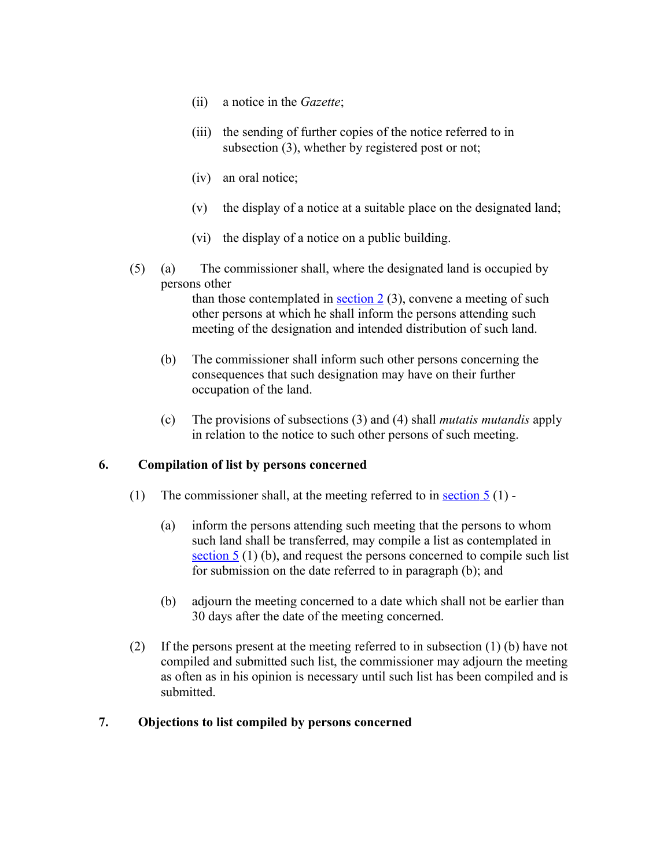- (ii) a notice in the *Gazette*;
- (iii) the sending of further copies of the notice referred to in subsection (3), whether by registered post or not;
- (iv) an oral notice;
- (v) the display of a notice at a suitable place on the designated land;
- (vi) the display of a notice on a public building.
- (5) (a) The commissioner shall, where the designated land is occupied by persons other

than those contemplated in  $\frac{\text{section 2}}{3}$ , convene a meeting of such other persons at which he shall inform the persons attending such meeting of the designation and intended distribution of such land.

- (b) The commissioner shall inform such other persons concerning the consequences that such designation may have on their further occupation of the land.
- (c) The provisions of subsections (3) and (4) shall *mutatis mutandis* apply in relation to the notice to such other persons of such meeting.

# **6. Compilation of list by persons concerned**

- (1) The commissioner shall, at the meeting referred to in section  $5(1)$  -
	- (a) inform the persons attending such meeting that the persons to whom such land shall be transferred, may compile a list as contemplated in section 5 (1) (b), and request the persons concerned to compile such list for submission on the date referred to in paragraph (b); and
	- (b) adjourn the meeting concerned to a date which shall not be earlier than 30 days after the date of the meeting concerned.
- (2) If the persons present at the meeting referred to in subsection (1) (b) have not compiled and submitted such list, the commissioner may adjourn the meeting as often as in his opinion is necessary until such list has been compiled and is submitted.

#### **7. Objections to list compiled by persons concerned**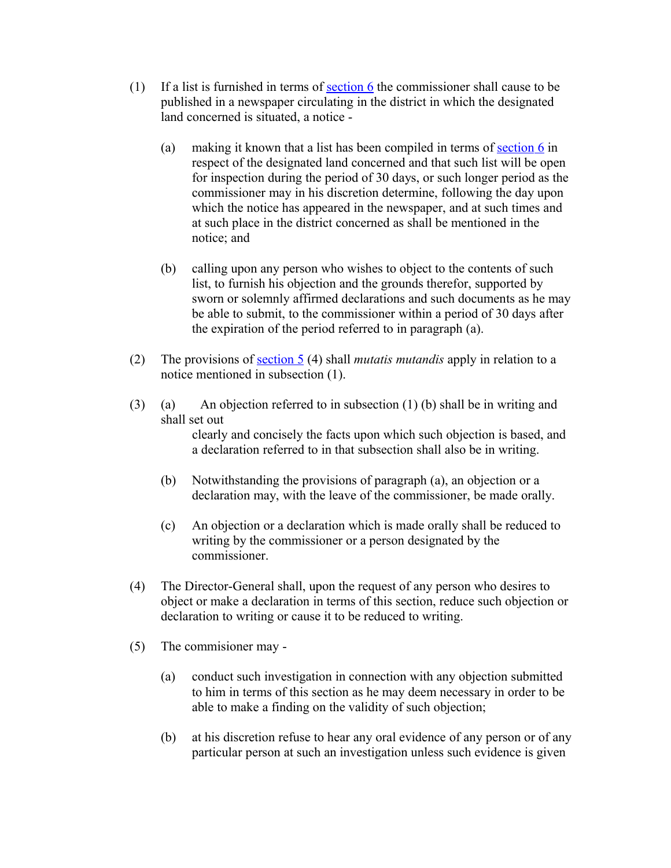- (1) If a list is furnished in terms of [section 6](http://search.sabinet.co.za/netlawpdf/netlaw/DISTRIBUTION%20AND%20TRANSFER%20OF%20CERTAIN%20STATE%20LAND%20ACT.htm#section6%23section6) the commissioner shall cause to be published in a newspaper circulating in the district in which the designated land concerned is situated, a notice -
	- (a) making it known that a list has been compiled in terms of section  $6$  in respect of the designated land concerned and that such list will be open for inspection during the period of 30 days, or such longer period as the commissioner may in his discretion determine, following the day upon which the notice has appeared in the newspaper, and at such times and at such place in the district concerned as shall be mentioned in the notice; and
	- (b) calling upon any person who wishes to object to the contents of such list, to furnish his objection and the grounds therefor, supported by sworn or solemnly affirmed declarations and such documents as he may be able to submit, to the commissioner within a period of 30 days after the expiration of the period referred to in paragraph (a).
- (2) The provisions of [section 5](http://search.sabinet.co.za/netlawpdf/netlaw/DISTRIBUTION%20AND%20TRANSFER%20OF%20CERTAIN%20STATE%20LAND%20ACT.htm#section5%23section5) (4) shall *mutatis mutandis* apply in relation to a notice mentioned in subsection (1).
- (3) (a) An objection referred to in subsection (1) (b) shall be in writing and shall set out clearly and concisely the facts upon which such objection is based, and a declaration referred to in that subsection shall also be in writing.
	- (b) Notwithstanding the provisions of paragraph (a), an objection or a declaration may, with the leave of the commissioner, be made orally.
	- (c) An objection or a declaration which is made orally shall be reduced to writing by the commissioner or a person designated by the commissioner.
- (4) The Director-General shall, upon the request of any person who desires to object or make a declaration in terms of this section, reduce such objection or declaration to writing or cause it to be reduced to writing.
- (5) The commisioner may
	- (a) conduct such investigation in connection with any objection submitted to him in terms of this section as he may deem necessary in order to be able to make a finding on the validity of such objection;
	- (b) at his discretion refuse to hear any oral evidence of any person or of any particular person at such an investigation unless such evidence is given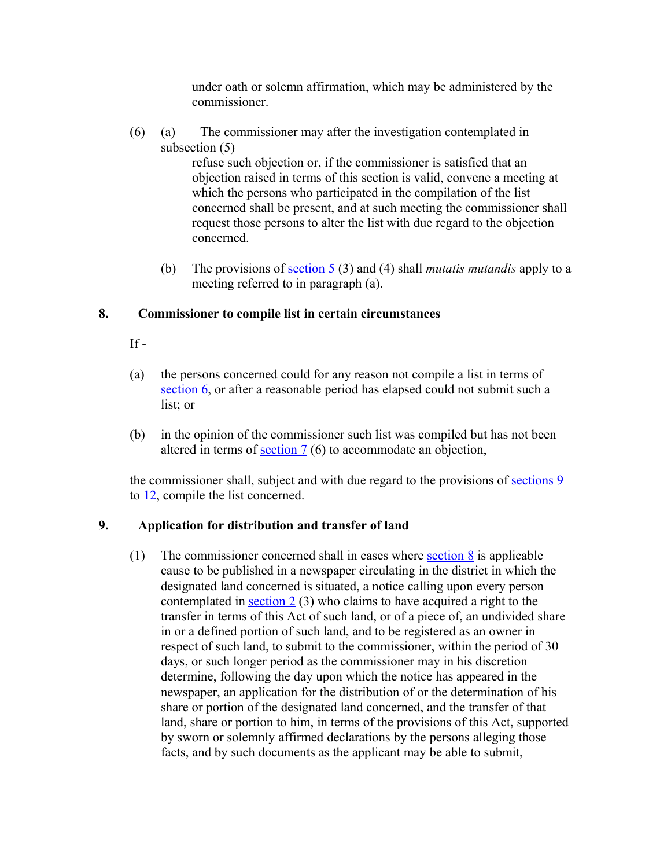under oath or solemn affirmation, which may be administered by the commissioner.

(6) (a) The commissioner may after the investigation contemplated in subsection (5)

refuse such objection or, if the commissioner is satisfied that an objection raised in terms of this section is valid, convene a meeting at which the persons who participated in the compilation of the list concerned shall be present, and at such meeting the commissioner shall request those persons to alter the list with due regard to the objection concerned.

(b) The provisions of [section 5](http://search.sabinet.co.za/netlawpdf/netlaw/DISTRIBUTION%20AND%20TRANSFER%20OF%20CERTAIN%20STATE%20LAND%20ACT.htm#section5%23section5) (3) and (4) shall *mutatis mutandis* apply to a meeting referred to in paragraph (a).

## **8. Commissioner to compile list in certain circumstances**

 $If -$ 

- (a) the persons concerned could for any reason not compile a list in terms of  [section 6,](http://search.sabinet.co.za/netlawpdf/netlaw/DISTRIBUTION%20AND%20TRANSFER%20OF%20CERTAIN%20STATE%20LAND%20ACT.htm#section6%23section6) or after a reasonable period has elapsed could not submit such a list; or
- (b) in the opinion of the commissioner such list was compiled but has not been altered in terms of section  $7(6)$  to accommodate an objection,

the commissioner shall, subject and with due regard to the provisions of [sections 9](http://search.sabinet.co.za/netlawpdf/netlaw/DISTRIBUTION%20AND%20TRANSFER%20OF%20CERTAIN%20STATE%20LAND%20ACT.htm#section9%23section9) to [12,](http://search.sabinet.co.za/netlawpdf/netlaw/DISTRIBUTION%20AND%20TRANSFER%20OF%20CERTAIN%20STATE%20LAND%20ACT.htm#section12%23section12) compile the list concerned.

#### **9. Application for distribution and transfer of land**

(1) The commissioner concerned shall in cases where [section 8](http://search.sabinet.co.za/netlawpdf/netlaw/DISTRIBUTION%20AND%20TRANSFER%20OF%20CERTAIN%20STATE%20LAND%20ACT.htm#section8%23section8) is applicable cause to be published in a newspaper circulating in the district in which the designated land concerned is situated, a notice calling upon every person contemplated in section  $2(3)$  who claims to have acquired a right to the transfer in terms of this Act of such land, or of a piece of, an undivided share in or a defined portion of such land, and to be registered as an owner in respect of such land, to submit to the commissioner, within the period of 30 days, or such longer period as the commissioner may in his discretion determine, following the day upon which the notice has appeared in the newspaper, an application for the distribution of or the determination of his share or portion of the designated land concerned, and the transfer of that land, share or portion to him, in terms of the provisions of this Act, supported by sworn or solemnly affirmed declarations by the persons alleging those facts, and by such documents as the applicant may be able to submit,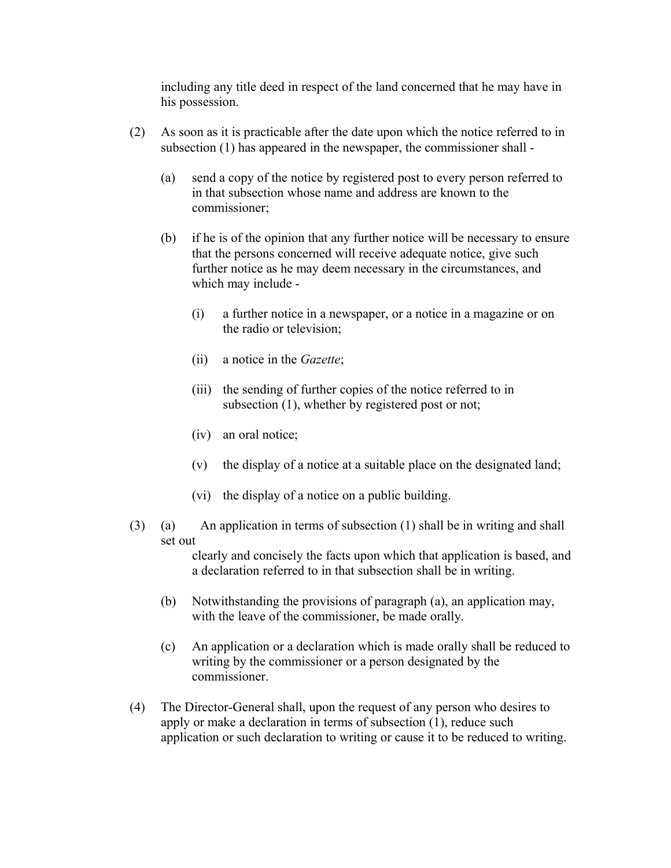including any title deed in respect of the land concerned that he may have in his possession.

- (2) As soon as it is practicable after the date upon which the notice referred to in subsection (1) has appeared in the newspaper, the commissioner shall -
	- (a) send a copy of the notice by registered post to every person referred to in that subsection whose name and address are known to the commissioner;
	- (b) if he is of the opinion that any further notice will be necessary to ensure that the persons concerned will receive adequate notice, give such further notice as he may deem necessary in the circumstances, and which may include -
		- (i) a further notice in a newspaper, or a notice in a magazine or on the radio or television;
		- (ii) a notice in the *Gazette*;
		- (iii) the sending of further copies of the notice referred to in subsection (1), whether by registered post or not;
		- (iv) an oral notice;
		- (v) the display of a notice at a suitable place on the designated land;
		- (vi) the display of a notice on a public building.
- (3) (a) An application in terms of subsection (1) shall be in writing and shall set out

clearly and concisely the facts upon which that application is based, and a declaration referred to in that subsection shall be in writing.

- (b) Notwithstanding the provisions of paragraph (a), an application may, with the leave of the commissioner, be made orally.
- (c) An application or a declaration which is made orally shall be reduced to writing by the commissioner or a person designated by the commissioner.
- (4) The Director-General shall, upon the request of any person who desires to apply or make a declaration in terms of subsection (1), reduce such application or such declaration to writing or cause it to be reduced to writing.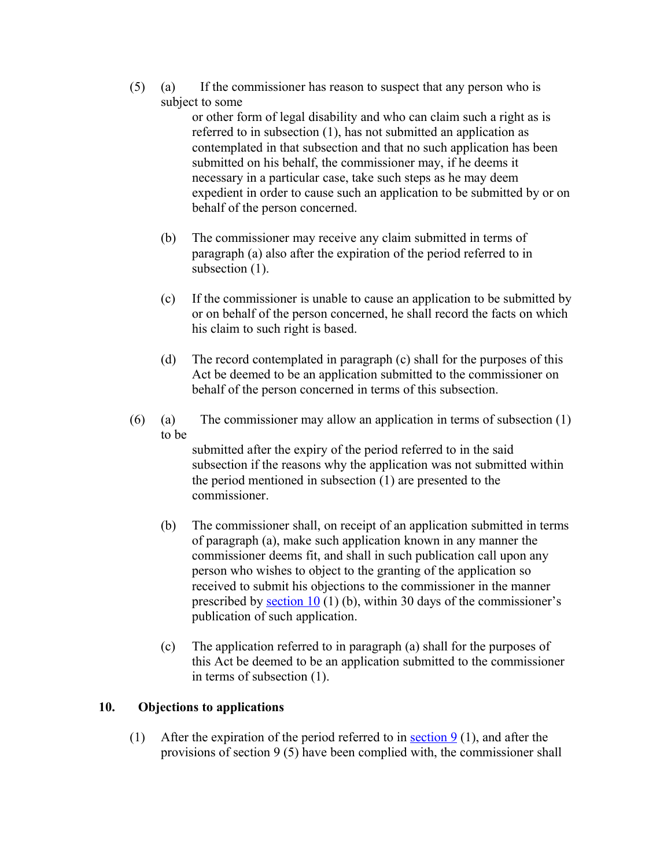(5) (a) If the commissioner has reason to suspect that any person who is subject to some

or other form of legal disability and who can claim such a right as is referred to in subsection (1), has not submitted an application as contemplated in that subsection and that no such application has been submitted on his behalf, the commissioner may, if he deems it necessary in a particular case, take such steps as he may deem expedient in order to cause such an application to be submitted by or on behalf of the person concerned.

- (b) The commissioner may receive any claim submitted in terms of paragraph (a) also after the expiration of the period referred to in subsection  $(1)$ .
- (c) If the commissioner is unable to cause an application to be submitted by or on behalf of the person concerned, he shall record the facts on which his claim to such right is based.
- (d) The record contemplated in paragraph (c) shall for the purposes of this Act be deemed to be an application submitted to the commissioner on behalf of the person concerned in terms of this subsection.
- (6) (a) The commissioner may allow an application in terms of subsection  $(1)$ to be

submitted after the expiry of the period referred to in the said subsection if the reasons why the application was not submitted within the period mentioned in subsection (1) are presented to the commissioner.

- (b) The commissioner shall, on receipt of an application submitted in terms of paragraph (a), make such application known in any manner the commissioner deems fit, and shall in such publication call upon any person who wishes to object to the granting of the application so received to submit his objections to the commissioner in the manner prescribed by section  $10(1)$  (b), within 30 days of the commissioner's publication of such application.
- (c) The application referred to in paragraph (a) shall for the purposes of this Act be deemed to be an application submitted to the commissioner in terms of subsection (1).

# **10. Objections to applications**

(1) After the expiration of the period referred to in section  $9(1)$ , and after the provisions of section 9 (5) have been complied with, the commissioner shall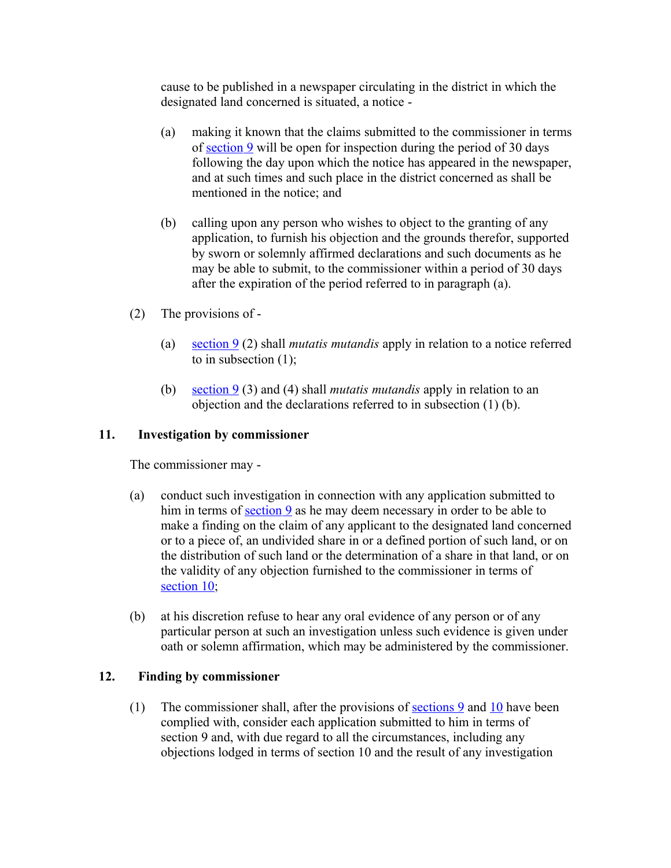cause to be published in a newspaper circulating in the district in which the designated land concerned is situated, a notice -

- (a) making it known that the claims submitted to the commissioner in terms of [section 9](http://search.sabinet.co.za/netlawpdf/netlaw/DISTRIBUTION%20AND%20TRANSFER%20OF%20CERTAIN%20STATE%20LAND%20ACT.htm#section9%23section9) will be open for inspection during the period of 30 days following the day upon which the notice has appeared in the newspaper, and at such times and such place in the district concerned as shall be mentioned in the notice; and
- (b) calling upon any person who wishes to object to the granting of any application, to furnish his objection and the grounds therefor, supported by sworn or solemnly affirmed declarations and such documents as he may be able to submit, to the commissioner within a period of 30 days after the expiration of the period referred to in paragraph (a).
- (2) The provisions of
	- (a) [section 9](http://search.sabinet.co.za/netlawpdf/netlaw/DISTRIBUTION%20AND%20TRANSFER%20OF%20CERTAIN%20STATE%20LAND%20ACT.htm#section9%23section9) (2) shall *mutatis mutandis* apply in relation to a notice referred to in subsection (1);
	- (b) [section 9](http://search.sabinet.co.za/netlawpdf/netlaw/DISTRIBUTION%20AND%20TRANSFER%20OF%20CERTAIN%20STATE%20LAND%20ACT.htm#section9%23section9) (3) and (4) shall *mutatis mutandis* apply in relation to an objection and the declarations referred to in subsection (1) (b).

# **11. Investigation by commissioner**

The commissioner may -

- (a) conduct such investigation in connection with any application submitted to him in terms of <u>section 9</u> as he may deem necessary in order to be able to make a finding on the claim of any applicant to the designated land concerned or to a piece of, an undivided share in or a defined portion of such land, or on the distribution of such land or the determination of a share in that land, or on the validity of any objection furnished to the commissioner in terms of section 10;
- (b) at his discretion refuse to hear any oral evidence of any person or of any particular person at such an investigation unless such evidence is given under oath or solemn affirmation, which may be administered by the commissioner.

# **12. Finding by commissioner**

(1) The commissioner shall, after the provisions of sections  $9$  and  $10$  have been complied with, consider each application submitted to him in terms of section 9 and, with due regard to all the circumstances, including any objections lodged in terms of section 10 and the result of any investigation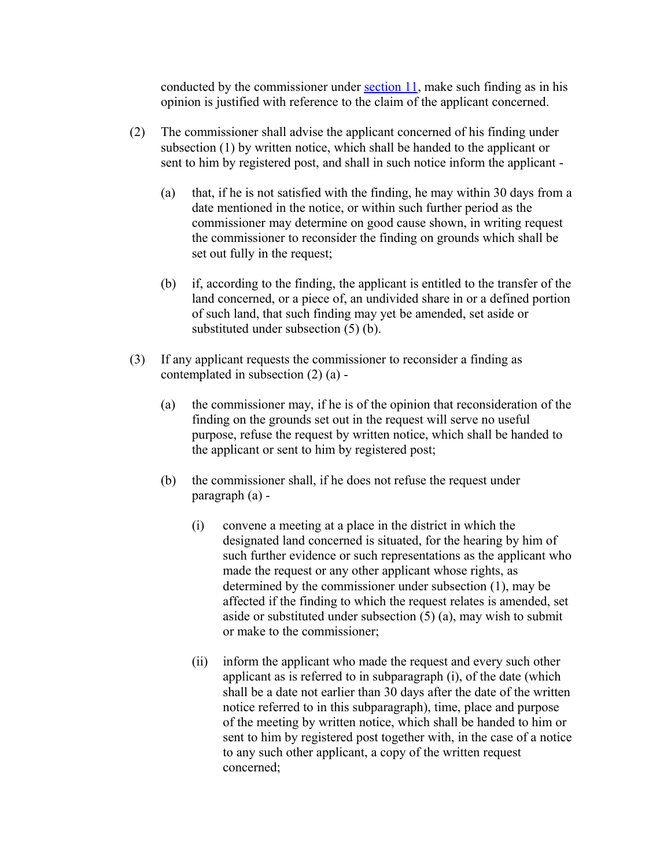conducted by the commissioner under [section 11,](http://search.sabinet.co.za/netlawpdf/netlaw/DISTRIBUTION%20AND%20TRANSFER%20OF%20CERTAIN%20STATE%20LAND%20ACT.htm#section11%23section11) make such finding as in his opinion is justified with reference to the claim of the applicant concerned.

- (2) The commissioner shall advise the applicant concerned of his finding under subsection (1) by written notice, which shall be handed to the applicant or sent to him by registered post, and shall in such notice inform the applicant -
	- (a) that, if he is not satisfied with the finding, he may within 30 days from a date mentioned in the notice, or within such further period as the commissioner may determine on good cause shown, in writing request the commissioner to reconsider the finding on grounds which shall be set out fully in the request;
	- (b) if, according to the finding, the applicant is entitled to the transfer of the land concerned, or a piece of, an undivided share in or a defined portion of such land, that such finding may yet be amended, set aside or substituted under subsection (5) (b).
- (3) If any applicant requests the commissioner to reconsider a finding as contemplated in subsection (2) (a) -
	- (a) the commissioner may, if he is of the opinion that reconsideration of the finding on the grounds set out in the request will serve no useful purpose, refuse the request by written notice, which shall be handed to the applicant or sent to him by registered post;
	- (b) the commissioner shall, if he does not refuse the request under paragraph (a) -
		- (i) convene a meeting at a place in the district in which the designated land concerned is situated, for the hearing by him of such further evidence or such representations as the applicant who made the request or any other applicant whose rights, as determined by the commissioner under subsection (1), may be affected if the finding to which the request relates is amended, set aside or substituted under subsection  $(5)$  (a), may wish to submit or make to the commissioner;
		- (ii) inform the applicant who made the request and every such other applicant as is referred to in subparagraph (i), of the date (which shall be a date not earlier than 30 days after the date of the written notice referred to in this subparagraph), time, place and purpose of the meeting by written notice, which shall be handed to him or sent to him by registered post together with, in the case of a notice to any such other applicant, a copy of the written request concerned;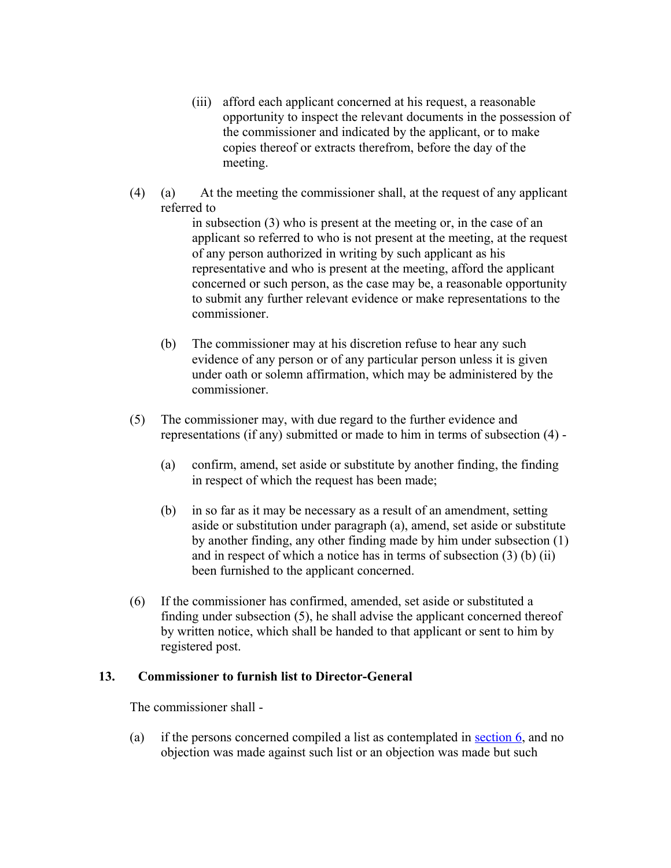- (iii) afford each applicant concerned at his request, a reasonable opportunity to inspect the relevant documents in the possession of the commissioner and indicated by the applicant, or to make copies thereof or extracts therefrom, before the day of the meeting.
- (4) (a) At the meeting the commissioner shall, at the request of any applicant referred to

in subsection (3) who is present at the meeting or, in the case of an applicant so referred to who is not present at the meeting, at the request of any person authorized in writing by such applicant as his representative and who is present at the meeting, afford the applicant concerned or such person, as the case may be, a reasonable opportunity to submit any further relevant evidence or make representations to the commissioner.

- (b) The commissioner may at his discretion refuse to hear any such evidence of any person or of any particular person unless it is given under oath or solemn affirmation, which may be administered by the commissioner.
- (5) The commissioner may, with due regard to the further evidence and representations (if any) submitted or made to him in terms of subsection (4) -
	- (a) confirm, amend, set aside or substitute by another finding, the finding in respect of which the request has been made;
	- (b) in so far as it may be necessary as a result of an amendment, setting aside or substitution under paragraph (a), amend, set aside or substitute by another finding, any other finding made by him under subsection (1) and in respect of which a notice has in terms of subsection (3) (b) (ii) been furnished to the applicant concerned.
- (6) If the commissioner has confirmed, amended, set aside or substituted a finding under subsection (5), he shall advise the applicant concerned thereof by written notice, which shall be handed to that applicant or sent to him by registered post.

#### **13. Commissioner to furnish list to Director-General**

The commissioner shall -

(a) if the persons concerned compiled a list as contemplated in [section 6,](http://search.sabinet.co.za/netlawpdf/netlaw/DISTRIBUTION%20AND%20TRANSFER%20OF%20CERTAIN%20STATE%20LAND%20ACT.htm#section6%23section6) and no objection was made against such list or an objection was made but such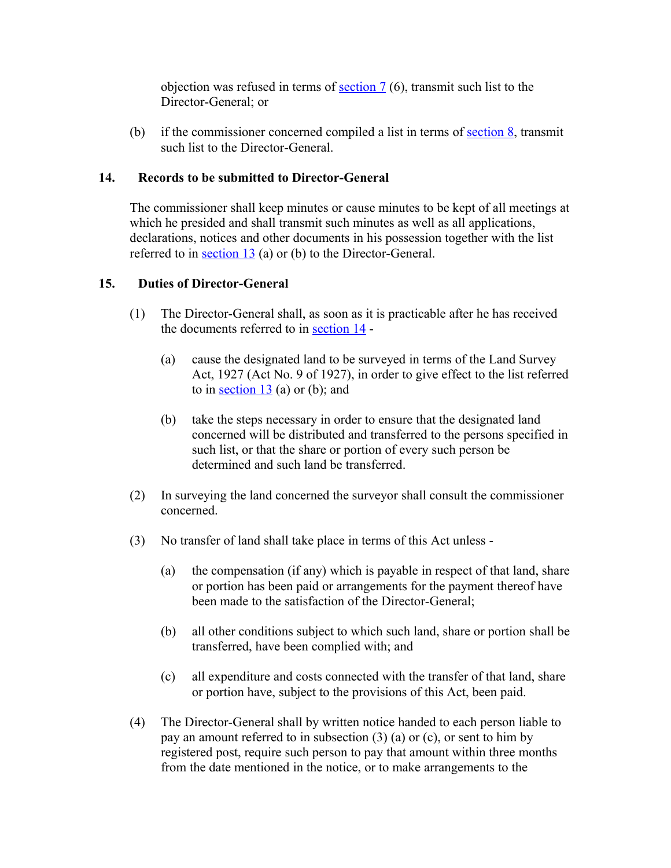objection was refused in terms of [section 7](http://search.sabinet.co.za/netlawpdf/netlaw/DISTRIBUTION%20AND%20TRANSFER%20OF%20CERTAIN%20STATE%20LAND%20ACT.htm#section7%23section7) (6), transmit such list to the Director-General; or

(b) if the commissioner concerned compiled a list in terms of section  $\frac{8}{3}$ , transmit such list to the Director-General.

## **14. Records to be submitted to Director-General**

The commissioner shall keep minutes or cause minutes to be kept of all meetings at which he presided and shall transmit such minutes as well as all applications, declarations, notices and other documents in his possession together with the list referred to in [section 13](http://search.sabinet.co.za/netlawpdf/netlaw/DISTRIBUTION%20AND%20TRANSFER%20OF%20CERTAIN%20STATE%20LAND%20ACT.htm#section13%23section13) (a) or (b) to the Director-General.

## **15. Duties of Director-General**

- (1) The Director-General shall, as soon as it is practicable after he has received the documents referred to in [section 14](http://search.sabinet.co.za/netlawpdf/netlaw/DISTRIBUTION%20AND%20TRANSFER%20OF%20CERTAIN%20STATE%20LAND%20ACT.htm#section14%23section14) -
	- (a) cause the designated land to be surveyed in terms of the Land Survey Act, 1927 (Act No. 9 of 1927), in order to give effect to the list referred to in section  $13$  (a) or (b); and
	- (b) take the steps necessary in order to ensure that the designated land concerned will be distributed and transferred to the persons specified in such list, or that the share or portion of every such person be determined and such land be transferred.
- (2) In surveying the land concerned the surveyor shall consult the commissioner concerned.
- (3) No transfer of land shall take place in terms of this Act unless
	- (a) the compensation (if any) which is payable in respect of that land, share or portion has been paid or arrangements for the payment thereof have been made to the satisfaction of the Director-General;
	- (b) all other conditions subject to which such land, share or portion shall be transferred, have been complied with; and
	- (c) all expenditure and costs connected with the transfer of that land, share or portion have, subject to the provisions of this Act, been paid.
- (4) The Director-General shall by written notice handed to each person liable to pay an amount referred to in subsection (3) (a) or (c), or sent to him by registered post, require such person to pay that amount within three months from the date mentioned in the notice, or to make arrangements to the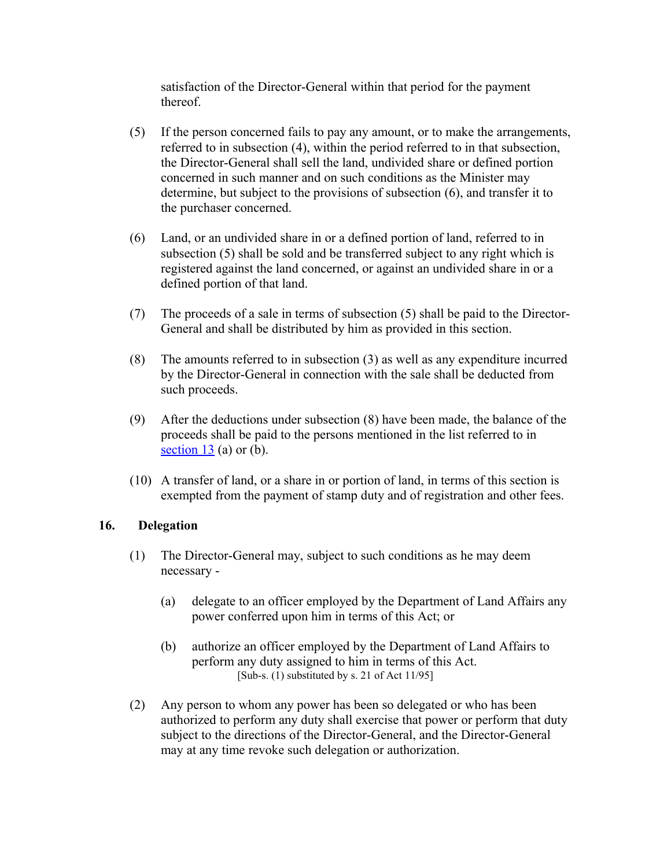satisfaction of the Director-General within that period for the payment thereof.

- (5) If the person concerned fails to pay any amount, or to make the arrangements, referred to in subsection (4), within the period referred to in that subsection, the Director-General shall sell the land, undivided share or defined portion concerned in such manner and on such conditions as the Minister may determine, but subject to the provisions of subsection (6), and transfer it to the purchaser concerned.
- (6) Land, or an undivided share in or a defined portion of land, referred to in subsection (5) shall be sold and be transferred subject to any right which is registered against the land concerned, or against an undivided share in or a defined portion of that land.
- (7) The proceeds of a sale in terms of subsection (5) shall be paid to the Director-General and shall be distributed by him as provided in this section.
- (8) The amounts referred to in subsection (3) as well as any expenditure incurred by the Director-General in connection with the sale shall be deducted from such proceeds.
- (9) After the deductions under subsection (8) have been made, the balance of the proceeds shall be paid to the persons mentioned in the list referred to in section  $13$  (a) or (b).
- (10) A transfer of land, or a share in or portion of land, in terms of this section is exempted from the payment of stamp duty and of registration and other fees.

# **16. Delegation**

- (1) The Director-General may, subject to such conditions as he may deem necessary -
	- (a) delegate to an officer employed by the Department of Land Affairs any power conferred upon him in terms of this Act; or
	- (b) authorize an officer employed by the Department of Land Affairs to perform any duty assigned to him in terms of this Act. [Sub-s. (1) substituted by s. 21 of Act 11/95]
- (2) Any person to whom any power has been so delegated or who has been authorized to perform any duty shall exercise that power or perform that duty subject to the directions of the Director-General, and the Director-General may at any time revoke such delegation or authorization.